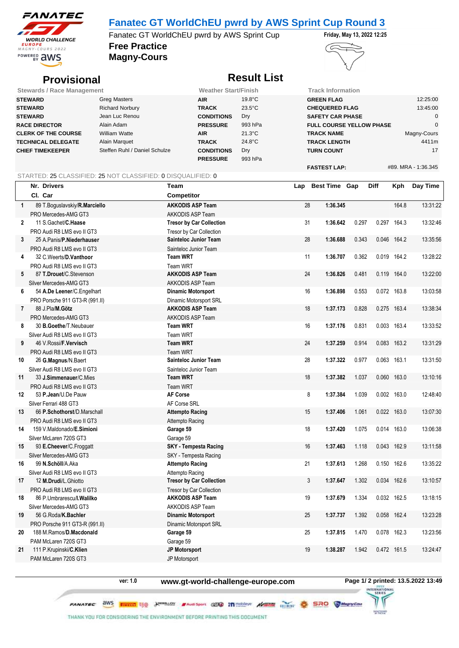

### **Fanatec GT WorldChEU pwrd by AWS Sprint Cup Round 3**

**Free Practice** Fanatec GT WorldChEU pwrd by AWS Sprint Cup Friday, May 13, 2022 12:25

**Magny-Cours**



## **Provisional** *Result List*

| <b>Stewards / Race Management</b> |                               | <b>Weather Start/Finish</b> |                  |                                 | <b>Track Information</b> |  |  |
|-----------------------------------|-------------------------------|-----------------------------|------------------|---------------------------------|--------------------------|--|--|
| <b>STEWARD</b>                    | Greg Masters                  | <b>AIR</b>                  | $19.8^{\circ}$ C | <b>GREEN FLAG</b>               | 12:25:00                 |  |  |
| <b>STEWARD</b>                    | <b>Richard Norbury</b>        | <b>TRACK</b>                | $23.5^{\circ}$ C | <b>CHEQUERED FLAG</b>           | 13:45:00                 |  |  |
| <b>STEWARD</b>                    | Jean Luc Renou                | <b>CONDITIONS</b>           | <b>Dry</b>       | <b>SAFETY CAR PHASE</b>         |                          |  |  |
| <b>RACE DIRECTOR</b>              | Alain Adam                    | <b>PRESSURE</b>             | 993 hPa          | <b>FULL COURSE YELLOW PHASE</b> |                          |  |  |
| <b>CLERK OF THE COURSE</b>        | William Watte                 | <b>AIR</b>                  | $21.3^{\circ}$ C | <b>TRACK NAME</b>               | Magny-Cours              |  |  |
| <b>TECHNICAL DELEGATE</b>         | Alain Marquet                 | <b>TRACK</b>                | $24.8^{\circ}$ C | <b>TRACK LENGTH</b>             | 4411m                    |  |  |
| <b>CHIEF TIMEKEEPER</b>           | Steffen Ruhl / Daniel Schulze | <b>CONDITIONS</b>           | Dry              | <b>TURN COUNT</b>               | 17                       |  |  |
|                                   |                               | <b>PRESSURE</b>             | 993 hPa          |                                 |                          |  |  |
|                                   |                               |                             |                  | <b>FASTEST LAP:</b>             | #89. MRA - 1:36.345      |  |  |

#### STARTED: 25 CLASSIFIED: 25 NOT CLASSIFIED: 0 DISQUALIFIED: 0

|                | Nr. Drivers                        | <b>Team</b>                     | Lap | <b>Best Time Gap</b> |       | <b>Diff</b> | Kph         | Day Time |
|----------------|------------------------------------|---------------------------------|-----|----------------------|-------|-------------|-------------|----------|
|                | Cl. Car                            | <b>Competitor</b>               |     |                      |       |             |             |          |
| $\mathbf{1}$   | 89 T.Boguslavskiy/R.Marciello      | <b>AKKODIS ASP Team</b>         | 28  | 1:36.345             |       |             | 164.8       | 13:31:22 |
|                | PRO Mercedes-AMG GT3               | AKKODIS ASP Team                |     |                      |       |             |             |          |
| $\overline{2}$ | 11 S. Gachet/C. Haase              | <b>Tresor by Car Collection</b> | 31  | 1:36.642             | 0.297 | 0.297       | 164.3       | 13:32:46 |
|                | PRO Audi R8 LMS evo II GT3         | Tresor by Car Collection        |     |                      |       |             |             |          |
| 3              | 25 A.Panis/P.Niederhauser          | <b>Sainteloc Junior Team</b>    | 28  | 1:36.688             | 0.343 | 0.046       | 164.2       | 13:35:56 |
|                | PRO Audi R8 LMS evo II GT3         | Sainteloc Junior Team           |     |                      |       |             |             |          |
| 4              | 32 C.Weerts/D.Vanthoor             | <b>Team WRT</b>                 | 11  | 1:36.707             | 0.362 |             | 0.019 164.2 | 13:28:22 |
|                | PRO Audi R8 LMS evo II GT3         | <b>Team WRT</b>                 |     |                      |       |             |             |          |
| 5              | 87 T.Drouet/C.Stevenson            | <b>AKKODIS ASP Team</b>         | 24  | 1:36.826             | 0.481 | 0.119       | 164.0       | 13:22:00 |
|                | Silver Mercedes-AMG GT3            | <b>AKKODIS ASP Team</b>         |     |                      |       |             |             |          |
| 6              | 54 A.De Leener/C.Engelhart         | <b>Dinamic Motorsport</b>       | 16  | 1:36.898             | 0.553 |             | 0.072 163.8 | 13:03:58 |
|                | PRO Porsche 911 GT3-R (991.II)     | Dinamic Motorsport SRL          |     |                      |       |             |             |          |
| $\overline{7}$ | 88 J.Pla/M.Götz                    | <b>AKKODIS ASP Team</b>         | 18  | 1:37.173             | 0.828 | 0.275       | 163.4       | 13:38:34 |
|                | PRO Mercedes-AMG GT3               | <b>AKKODIS ASP Team</b>         |     |                      |       |             |             |          |
| 8              | 30 B.Goethe/T.Neubauer             | <b>Team WRT</b>                 | 16  | 1:37.176             | 0.831 | 0.003       | 163.4       | 13:33:52 |
|                | Silver Audi R8 LMS evo II GT3      | <b>Team WRT</b>                 |     |                      |       |             |             |          |
| 9              | 46 V.Rossi/F.Vervisch              | <b>Team WRT</b>                 | 24  | 1:37.259             | 0.914 | 0.083       | 163.2       | 13:31:29 |
|                | PRO Audi R8 LMS evo II GT3         | <b>Team WRT</b>                 |     |                      |       |             |             |          |
| 10             | 26 G.Magnus/N.Baert                | <b>Sainteloc Junior Team</b>    | 28  | 1:37.322             | 0.977 | 0.063       | 163.1       | 13:31:50 |
|                | Silver Audi R8 LMS evo II GT3      | Sainteloc Junior Team           |     |                      |       |             |             |          |
| 11             | 33 J.Simmenauer/C.Mies             | <b>Team WRT</b>                 | 18  | 1:37.382             | 1.037 | 0.060       | 163.0       | 13:10:16 |
|                | PRO Audi R8 LMS evo II GT3         | <b>Team WRT</b>                 |     |                      |       |             |             |          |
| 12             | 53 P.Jean/U.De Pauw                | <b>AF Corse</b>                 | 8   | 1:37.384             | 1.039 | 0.002       | 163.0       | 12:48:40 |
|                | Silver Ferrari 488 GT3             | AF Corse SRL                    |     |                      |       |             |             |          |
| 13             | 66 P.Schothorst/D.Marschall        | <b>Attempto Racing</b>          | 15  | 1:37.406             | 1.061 | 0.022       | 163.0       | 13:07:30 |
|                | PRO Audi R8 LMS evo II GT3         | Attempto Racing                 |     |                      |       |             |             |          |
| 14             | 159 V.Maldonado/E.Simioni          | Garage 59                       | 18  | 1:37.420             | 1.075 |             | 0.014 163.0 | 13:06:38 |
|                | Silver McLaren 720S GT3            | Garage 59                       |     |                      |       |             |             |          |
| 15             | 93 E.Cheever/C.Froggatt            | <b>SKY - Tempesta Racing</b>    | 16  | 1:37.463             | 1.118 | 0.043       | 162.9       | 13:11:58 |
|                | Silver Mercedes-AMG GT3            | SKY - Tempesta Racing           |     |                      |       |             |             |          |
| 16             | 99 N.Schöll/A.Aka                  | <b>Attempto Racing</b>          | 21  | 1:37.613             | 1.268 |             | 0.150 162.6 | 13:35:22 |
|                | Silver Audi R8 LMS evo II GT3      | Attempto Racing                 |     |                      |       |             |             |          |
| 17             | 12 M.Drudi/L.Ghiotto               | <b>Tresor by Car Collection</b> | 3   | 1:37.647             | 1.302 | 0.034       | 162.6       | 13:10:57 |
|                | PRO Audi R8 LMS evo II GT3         | <b>Tresor by Car Collection</b> |     |                      |       |             |             |          |
| 18             | 86 P.Umbrarescu/ <b>I. Walilko</b> | <b>AKKODIS ASP Team</b>         | 19  | 1:37.679             | 1.334 |             | 0.032 162.5 | 13:18:15 |
|                | Silver Mercedes-AMG GT3            | <b>AKKODIS ASP Team</b>         |     |                      |       |             |             |          |
| 19             | 56 G.Roda/K.Bachler                | <b>Dinamic Motorsport</b>       | 25  | 1:37.737             | 1.392 | 0.058       | 162.4       | 13:23:28 |
|                | PRO Porsche 911 GT3-R (991.II)     | Dinamic Motorsport SRL          |     |                      |       |             |             |          |
| 20             | 188 M.Ramos/D.Macdonald            | Garage 59                       | 25  | 1:37.815             | 1.470 | 0.078       | 162.3       | 13:23:56 |
|                | PAM McLaren 720S GT3               | Garage 59                       |     |                      |       |             |             |          |
| 21             | 111 P.Krupinski/C.Klien            | JP Motorsport                   | 19  | 1:38.287             | 1.942 |             | 0.472 161.5 | 13:24:47 |
|                | PAM McLaren 720S GT3               | JP Motorsport                   |     |                      |       |             |             |          |

**ver: 1.0 www.gt-world-challenge-europe.com Page 1/ 2 printed: 13.5.2022 13:49**

 $\sqrt{2}$ 

**HANCISCHO** 

**PANATEC aWS THERE BO JUNEAUSE MANESPORT CENTER TO ALGEMENT CONTENT CONSTRUCTION** 

THANK YOU FOR CONSIDERING THE ENVIRONMENT BEFORE PRINTING THIS OOCUMENT